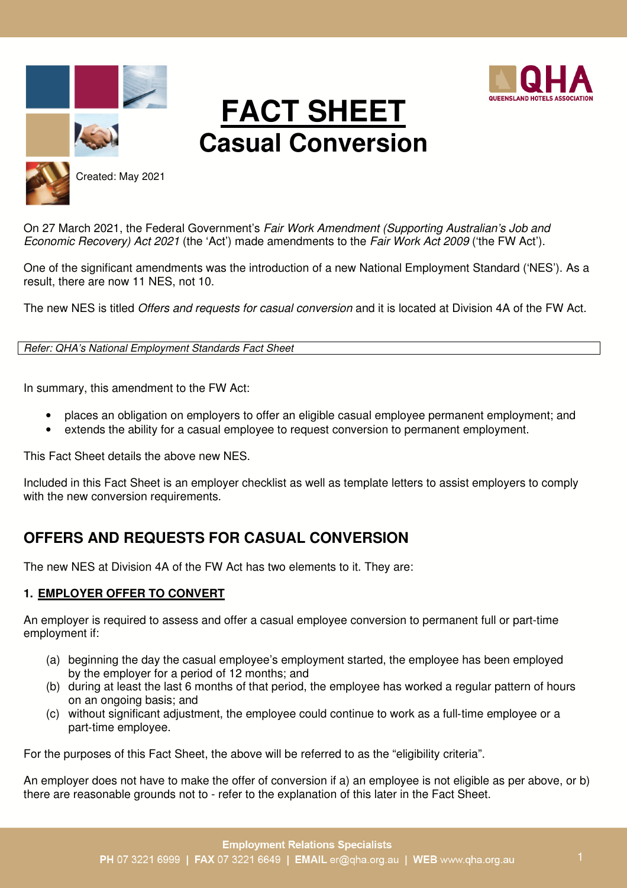





# **FACT SHEET Casual Conversion**



Created: May 2021

On 27 March 2021, the Federal Government's *Fair Work Amendment (Supporting Australian's Job and Economic Recovery) Act 2021* (the 'Act') made amendments to the *Fair Work Act 2009* ('the FW Act').

One of the significant amendments was the introduction of a new National Employment Standard ('NES'). As a result, there are now 11 NES, not 10.

The new NES is titled *Offers and requests for casual conversion* and it is located at Division 4A of the FW Act.

*Refer: QHA's National Employment Standards Fact Sheet*

In summary, this amendment to the FW Act:

- places an obligation on employers to offer an eligible casual employee permanent employment; and
- extends the ability for a casual employee to request conversion to permanent employment.

This Fact Sheet details the above new NES.

Included in this Fact Sheet is an employer checklist as well as template letters to assist employers to comply with the new conversion requirements.

# **OFFERS AND REQUESTS FOR CASUAL CONVERSION**

The new NES at Division 4A of the FW Act has two elements to it. They are:

# **1. EMPLOYER OFFER TO CONVERT**

An employer is required to assess and offer a casual employee conversion to permanent full or part-time employment if:

- (a) beginning the day the casual employee's employment started, the employee has been employed by the employer for a period of 12 months; and
- (b) during at least the last 6 months of that period, the employee has worked a regular pattern of hours on an ongoing basis; and
- (c) without significant adjustment, the employee could continue to work as a full‑time employee or a part-time employee.

For the purposes of this Fact Sheet, the above will be referred to as the "eligibility criteria".

An employer does not have to make the offer of conversion if a) an employee is not eligible as per above, or b) there are reasonable grounds not to - refer to the explanation of this later in the Fact Sheet.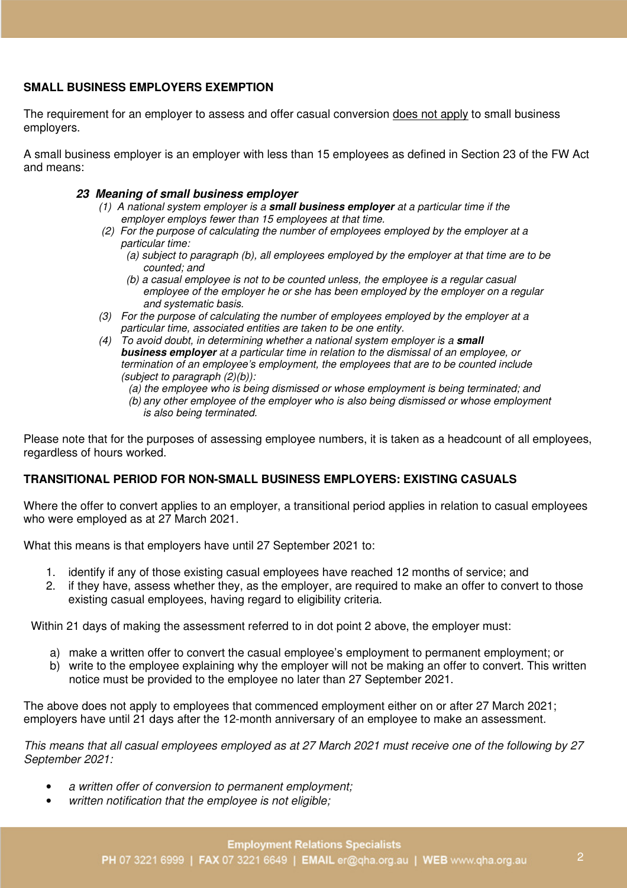# **SMALL BUSINESS EMPLOYERS EXEMPTION**

The requirement for an employer to assess and offer casual conversion does not apply to small business employers.

A small business employer is an employer with less than 15 employees as defined in Section 23 of the FW Act and means:

## **23 Meaning of small business employer**

- *(1) A national system employer is a* **small business employer** *at a particular time if the employer employs fewer than 15 employees at that time.*
- *(2) For the purpose of calculating the number of employees employed by the employer at a particular time:* 
	- *(a) subject to paragraph (b), all employees employed by the employer at that time are to be counted; and*
	- *(b) a casual employee is not to be counted unless, the employee is a regular casual employee of the employer he or she has been employed by the employer on a regular and systematic basis.*
- *(3) For the purpose of calculating the number of employees employed by the employer at a particular time, associated entities are taken to be one entity.*
- *(4) To avoid doubt, in determining whether a national system employer is a* **small business employer** *at a particular time in relation to the dismissal of an employee, or termination of an employee's employment, the employees that are to be counted include (subject to paragraph (2)(b)):* 
	- *(a) the employee who is being dismissed or whose employment is being terminated; and*
	- *(b) any other employee of the employer who is also being dismissed or whose employment is also being terminated.*

Please note that for the purposes of assessing employee numbers, it is taken as a headcount of all employees, regardless of hours worked.

# **TRANSITIONAL PERIOD FOR NON-SMALL BUSINESS EMPLOYERS: EXISTING CASUALS**

Where the offer to convert applies to an employer, a transitional period applies in relation to casual employees who were employed as at 27 March 2021.

What this means is that employers have until 27 September 2021 to:

- 1. identify if any of those existing casual employees have reached 12 months of service; and
- 2. if they have, assess whether they, as the employer, are required to make an offer to convert to those existing casual employees, having regard to eligibility criteria.

Within 21 days of making the assessment referred to in dot point 2 above, the employer must:

- a) make a written offer to convert the casual employee's employment to permanent employment; or
- b) write to the employee explaining why the employer will not be making an offer to convert. This written notice must be provided to the employee no later than 27 September 2021.

The above does not apply to employees that commenced employment either on or after 27 March 2021; employers have until 21 days after the 12-month anniversary of an employee to make an assessment.

*This means that all casual employees employed as at 27 March 2021 must receive one of the following by 27 September 2021:* 

- *a written offer of conversion to permanent employment;*
- *written notification that the employee is not eligible;*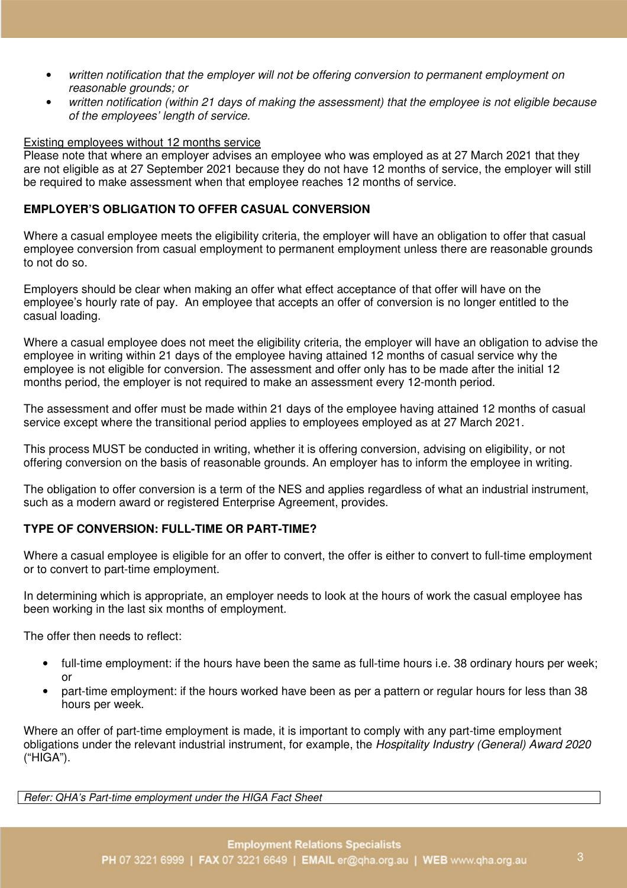- *written notification that the employer will not be offering conversion to permanent employment on reasonable grounds; or*
- *written notification (within 21 days of making the assessment) that the employee is not eligible because of the employees' length of service.*

#### Existing employees without 12 months service

Please note that where an employer advises an employee who was employed as at 27 March 2021 that they are not eligible as at 27 September 2021 because they do not have 12 months of service, the employer will still be required to make assessment when that employee reaches 12 months of service.

# **EMPLOYER'S OBLIGATION TO OFFER CASUAL CONVERSION**

Where a casual employee meets the eligibility criteria, the employer will have an obligation to offer that casual employee conversion from casual employment to permanent employment unless there are reasonable grounds to not do so.

Employers should be clear when making an offer what effect acceptance of that offer will have on the employee's hourly rate of pay. An employee that accepts an offer of conversion is no longer entitled to the casual loading.

Where a casual employee does not meet the eligibility criteria, the employer will have an obligation to advise the employee in writing within 21 days of the employee having attained 12 months of casual service why the employee is not eligible for conversion. The assessment and offer only has to be made after the initial 12 months period, the employer is not required to make an assessment every 12-month period.

The assessment and offer must be made within 21 days of the employee having attained 12 months of casual service except where the transitional period applies to employees employed as at 27 March 2021.

This process MUST be conducted in writing, whether it is offering conversion, advising on eligibility, or not offering conversion on the basis of reasonable grounds. An employer has to inform the employee in writing.

The obligation to offer conversion is a term of the NES and applies regardless of what an industrial instrument, such as a modern award or registered Enterprise Agreement, provides.

## **TYPE OF CONVERSION: FULL-TIME OR PART-TIME?**

Where a casual employee is eligible for an offer to convert, the offer is either to convert to full-time employment or to convert to part-time employment.

In determining which is appropriate, an employer needs to look at the hours of work the casual employee has been working in the last six months of employment.

The offer then needs to reflect:

- full-time employment: if the hours have been the same as full-time hours i.e. 38 ordinary hours per week; or
- part-time employment: if the hours worked have been as per a pattern or regular hours for less than 38 hours per week.

Where an offer of part-time employment is made, it is important to comply with any part-time employment obligations under the relevant industrial instrument, for example, the *Hospitality Industry (General) Award 2020*  ("HIGA").

*Refer: QHA's Part-time employment under the HIGA Fact Sheet*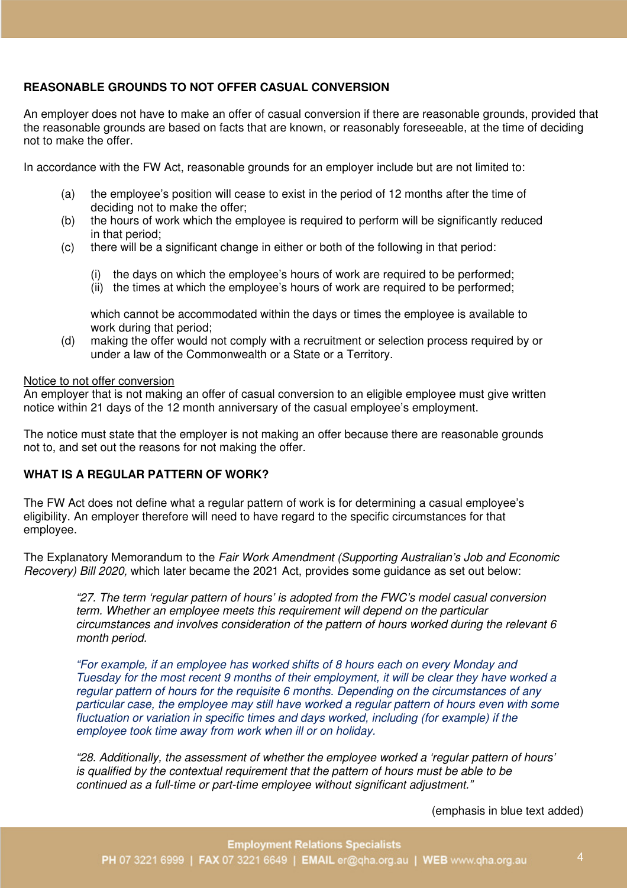# **REASONABLE GROUNDS TO NOT OFFER CASUAL CONVERSION**

An employer does not have to make an offer of casual conversion if there are reasonable grounds, provided that the reasonable grounds are based on facts that are known, or reasonably foreseeable, at the time of deciding not to make the offer.

In accordance with the FW Act, reasonable grounds for an employer include but are not limited to:

- (a) the employee's position will cease to exist in the period of 12 months after the time of deciding not to make the offer;
- (b) the hours of work which the employee is required to perform will be significantly reduced in that period;
- (c) there will be a significant change in either or both of the following in that period:
	- (i) the days on which the employee's hours of work are required to be performed;
	- (ii) the times at which the employee's hours of work are required to be performed;

which cannot be accommodated within the days or times the employee is available to work during that period;

(d) making the offer would not comply with a recruitment or selection process required by or under a law of the Commonwealth or a State or a Territory.

#### Notice to not offer conversion

An employer that is not making an offer of casual conversion to an eligible employee must give written notice within 21 days of the 12 month anniversary of the casual employee's employment.

The notice must state that the employer is not making an offer because there are reasonable grounds not to, and set out the reasons for not making the offer.

#### **WHAT IS A REGULAR PATTERN OF WORK?**

The FW Act does not define what a regular pattern of work is for determining a casual employee's eligibility. An employer therefore will need to have regard to the specific circumstances for that employee.

The Explanatory Memorandum to the *Fair Work Amendment (Supporting Australian's Job and Economic Recovery) Bill 2020,* which later became the 2021 Act, provides some guidance as set out below:

*"27. The term 'regular pattern of hours' is adopted from the FWC's model casual conversion term. Whether an employee meets this requirement will depend on the particular circumstances and involves consideration of the pattern of hours worked during the relevant 6 month period.* 

*"For example, if an employee has worked shifts of 8 hours each on every Monday and Tuesday for the most recent 9 months of their employment, it will be clear they have worked a regular pattern of hours for the requisite 6 months. Depending on the circumstances of any particular case, the employee may still have worked a regular pattern of hours even with some fluctuation or variation in specific times and days worked, including (for example) if the employee took time away from work when ill or on holiday.* 

*"28. Additionally, the assessment of whether the employee worked a 'regular pattern of hours' is qualified by the contextual requirement that the pattern of hours must be able to be continued as a full-time or part-time employee without significant adjustment."* 

(emphasis in blue text added)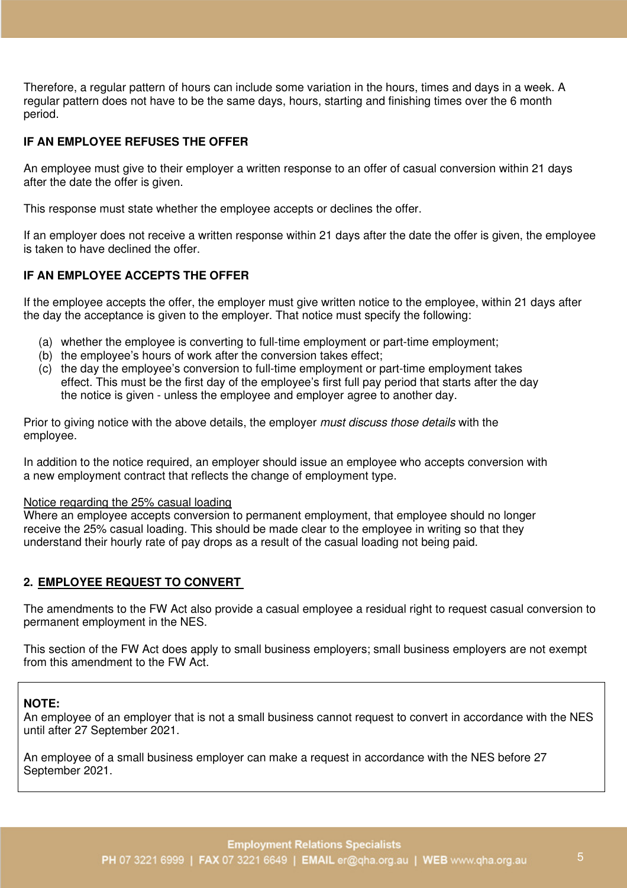Therefore, a regular pattern of hours can include some variation in the hours, times and days in a week. A regular pattern does not have to be the same days, hours, starting and finishing times over the 6 month period.

# **IF AN EMPLOYEE REFUSES THE OFFER**

An employee must give to their employer a written response to an offer of casual conversion within 21 days after the date the offer is given.

This response must state whether the employee accepts or declines the offer.

If an employer does not receive a written response within 21 days after the date the offer is given, the employee is taken to have declined the offer.

# **IF AN EMPLOYEE ACCEPTS THE OFFER**

If the employee accepts the offer, the employer must give written notice to the employee, within 21 days after the day the acceptance is given to the employer. That notice must specify the following:

- (a) whether the employee is converting to full-time employment or part-time employment;
- (b) the employee's hours of work after the conversion takes effect;
- (c) the day the employee's conversion to full-time employment or part-time employment takes effect. This must be the first day of the employee's first full pay period that starts after the day the notice is given - unless the employee and employer agree to another day.

Prior to giving notice with the above details, the employer *must discuss those details* with the employee.

In addition to the notice required, an employer should issue an employee who accepts conversion with a new employment contract that reflects the change of employment type.

#### Notice regarding the 25% casual loading

Where an employee accepts conversion to permanent employment, that employee should no longer receive the 25% casual loading. This should be made clear to the employee in writing so that they understand their hourly rate of pay drops as a result of the casual loading not being paid.

## **2. EMPLOYEE REQUEST TO CONVERT**

The amendments to the FW Act also provide a casual employee a residual right to request casual conversion to permanent employment in the NES.

This section of the FW Act does apply to small business employers; small business employers are not exempt from this amendment to the FW Act.

## **NOTE:**

An employee of an employer that is not a small business cannot request to convert in accordance with the NES until after 27 September 2021.

An employee of a small business employer can make a request in accordance with the NES before 27 September 2021.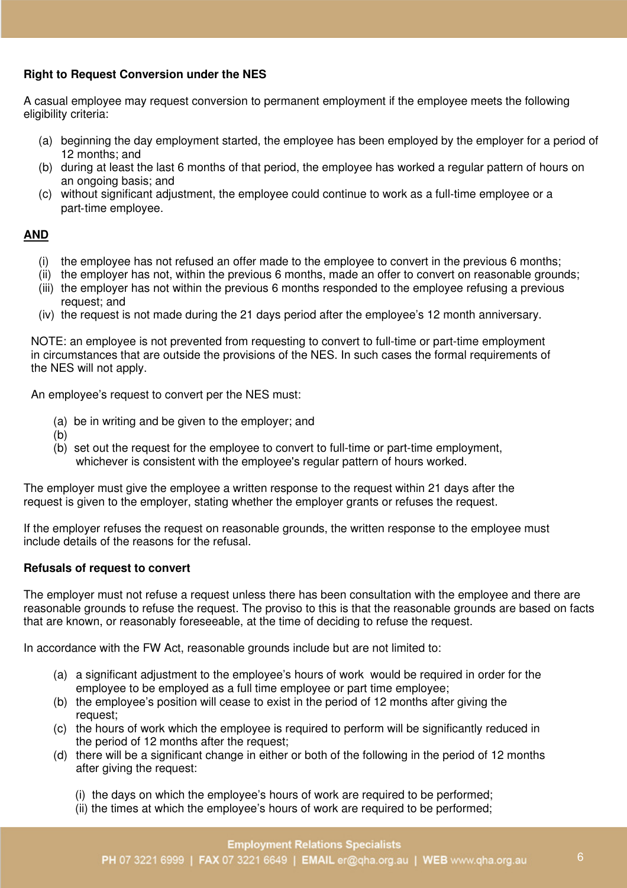# **Right to Request Conversion under the NES**

A casual employee may request conversion to permanent employment if the employee meets the following eligibility criteria:

- (a) beginning the day employment started, the employee has been employed by the employer for a period of 12 months; and
- (b) during at least the last 6 months of that period, the employee has worked a regular pattern of hours on an ongoing basis; and
- (c) without significant adjustment, the employee could continue to work as a full‑time employee or a part-time employee.

## **AND**

- (i) the employee has not refused an offer made to the employee to convert in the previous 6 months;
- (ii) the employer has not, within the previous 6 months, made an offer to convert on reasonable grounds;
- (iii) the employer has not within the previous 6 months responded to the employee refusing a previous request; and
- (iv) the request is not made during the 21 days period after the employee's 12 month anniversary.

NOTE: an employee is not prevented from requesting to convert to full-time or part-time employment in circumstances that are outside the provisions of the NES. In such cases the formal requirements of the NES will not apply.

An employee's request to convert per the NES must:

- (a) be in writing and be given to the employer; and
- (b)
- (b) set out the request for the employee to convert to full-time or part-time employment, whichever is consistent with the employee's regular pattern of hours worked.

The employer must give the employee a written response to the request within 21 days after the request is given to the employer, stating whether the employer grants or refuses the request.

If the employer refuses the request on reasonable grounds, the written response to the employee must include details of the reasons for the refusal.

#### **Refusals of request to convert**

The employer must not refuse a request unless there has been consultation with the employee and there are reasonable grounds to refuse the request. The proviso to this is that the reasonable grounds are based on facts that are known, or reasonably foreseeable, at the time of deciding to refuse the request.

In accordance with the FW Act, reasonable grounds include but are not limited to:

- (a) a significant adjustment to the employee's hours of work would be required in order for the employee to be employed as a full time employee or part time employee;
- (b) the employee's position will cease to exist in the period of 12 months after giving the request;
- (c) the hours of work which the employee is required to perform will be significantly reduced in the period of 12 months after the request;
- (d) there will be a significant change in either or both of the following in the period of 12 months after giving the request:
	- (i) the days on which the employee's hours of work are required to be performed;
	- (ii) the times at which the employee's hours of work are required to be performed;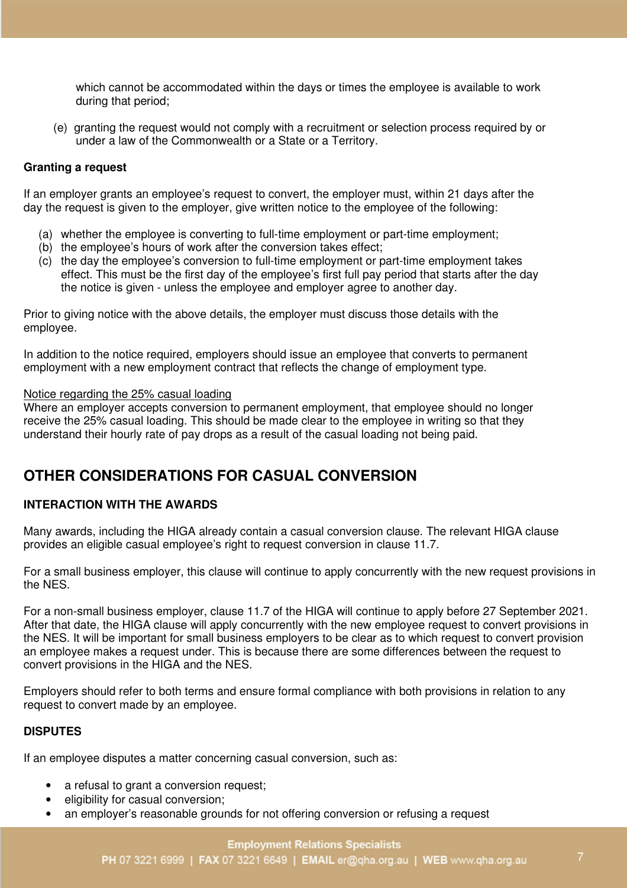which cannot be accommodated within the days or times the employee is available to work during that period;

(e) granting the request would not comply with a recruitment or selection process required by or under a law of the Commonwealth or a State or a Territory.

## **Granting a request**

If an employer grants an employee's request to convert, the employer must, within 21 days after the day the request is given to the employer, give written notice to the employee of the following:

- (a) whether the employee is converting to full-time employment or part-time employment:
- (b) the employee's hours of work after the conversion takes effect;
- (c) the day the employee's conversion to full-time employment or part-time employment takes effect. This must be the first day of the employee's first full pay period that starts after the day the notice is given - unless the employee and employer agree to another day.

Prior to giving notice with the above details, the employer must discuss those details with the employee.

In addition to the notice required, employers should issue an employee that converts to permanent employment with a new employment contract that reflects the change of employment type.

#### Notice regarding the 25% casual loading

Where an employer accepts conversion to permanent employment, that employee should no longer receive the 25% casual loading. This should be made clear to the employee in writing so that they understand their hourly rate of pay drops as a result of the casual loading not being paid.

# **OTHER CONSIDERATIONS FOR CASUAL CONVERSION**

## **INTERACTION WITH THE AWARDS**

Many awards, including the HIGA already contain a casual conversion clause. The relevant HIGA clause provides an eligible casual employee's right to request conversion in clause 11.7.

For a small business employer, this clause will continue to apply concurrently with the new request provisions in the NES.

For a non-small business employer, clause 11.7 of the HIGA will continue to apply before 27 September 2021. After that date, the HIGA clause will apply concurrently with the new employee request to convert provisions in the NES. It will be important for small business employers to be clear as to which request to convert provision an employee makes a request under. This is because there are some differences between the request to convert provisions in the HIGA and the NES.

Employers should refer to both terms and ensure formal compliance with both provisions in relation to any request to convert made by an employee.

## **DISPUTES**

If an employee disputes a matter concerning casual conversion, such as:

- a refusal to grant a conversion request;
- eligibility for casual conversion:
- an employer's reasonable grounds for not offering conversion or refusing a request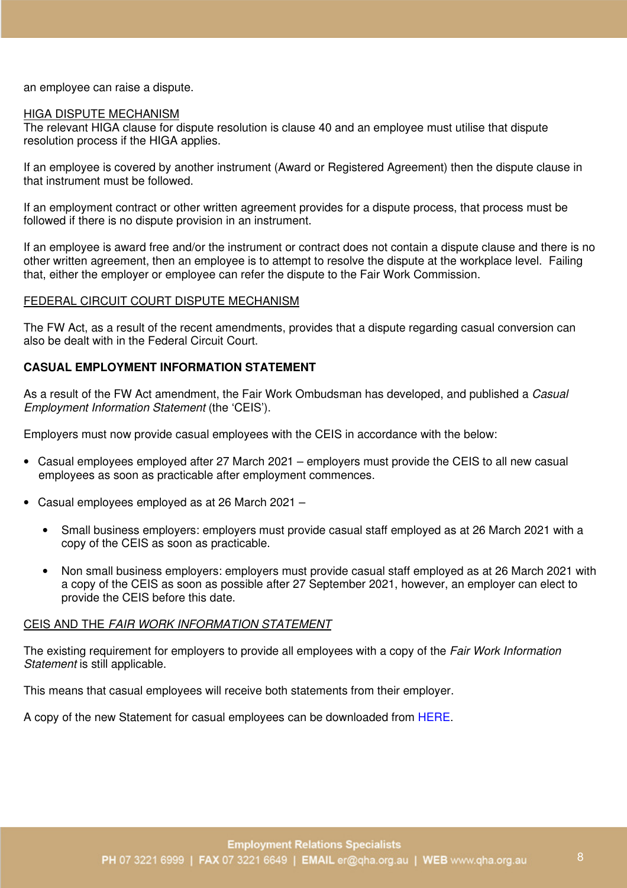an employee can raise a dispute.

#### HIGA DISPUTE MECHANISM

The relevant HIGA clause for dispute resolution is clause 40 and an employee must utilise that dispute resolution process if the HIGA applies.

If an employee is covered by another instrument (Award or Registered Agreement) then the dispute clause in that instrument must be followed.

If an employment contract or other written agreement provides for a dispute process, that process must be followed if there is no dispute provision in an instrument.

If an employee is award free and/or the instrument or contract does not contain a dispute clause and there is no other written agreement, then an employee is to attempt to resolve the dispute at the workplace level. Failing that, either the employer or employee can refer the dispute to the Fair Work Commission.

#### FEDERAL CIRCUIT COURT DISPUTE MECHANISM

The FW Act, as a result of the recent amendments, provides that a dispute regarding casual conversion can also be dealt with in the Federal Circuit Court.

#### **CASUAL EMPLOYMENT INFORMATION STATEMENT**

As a result of the FW Act amendment, the Fair Work Ombudsman has developed, and published a *Casual Employment Information Statement* (the 'CEIS').

Employers must now provide casual employees with the CEIS in accordance with the below:

- Casual employees employed after 27 March 2021 employers must provide the CEIS to all new casual employees as soon as practicable after employment commences.
- Casual employees employed as at 26 March 2021
	- Small business employers: employers must provide casual staff employed as at 26 March 2021 with a copy of the CEIS as soon as practicable.
	- Non small business employers: employers must provide casual staff employed as at 26 March 2021 with a copy of the CEIS as soon as possible after 27 September 2021, however, an employer can elect to provide the CEIS before this date.

#### CEIS AND THE *FAIR WORK INFORMATION STATEMENT*

The existing requirement for employers to provide all employees with a copy of the *Fair Work Information Statement* is still applicable.

This means that casual employees will receive both statements from their employer.

A copy of the new Statement for casual employees can be downloaded from HERE.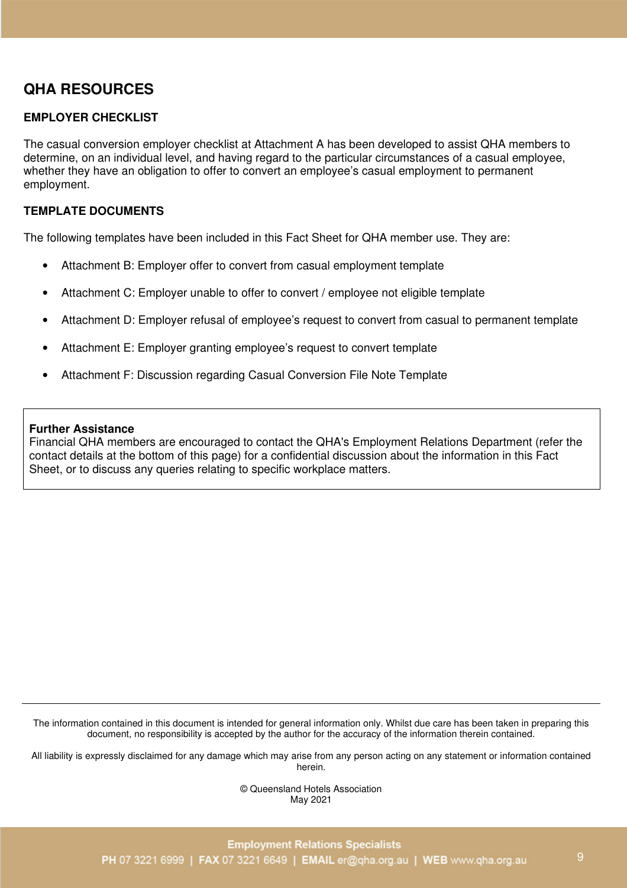# **QHA RESOURCES**

# **EMPLOYER CHECKLIST**

The casual conversion employer checklist at Attachment A has been developed to assist QHA members to determine, on an individual level, and having regard to the particular circumstances of a casual employee, whether they have an obligation to offer to convert an employee's casual employment to permanent employment.

## **TEMPLATE DOCUMENTS**

The following templates have been included in this Fact Sheet for QHA member use. They are:

- Attachment B: Employer offer to convert from casual employment template
- Attachment C: Employer unable to offer to convert / employee not eligible template
- Attachment D: Employer refusal of employee's request to convert from casual to permanent template
- Attachment E: Employer granting employee's request to convert template
- Attachment F: Discussion regarding Casual Conversion File Note Template

#### **Further Assistance**

Financial QHA members are encouraged to contact the QHA's Employment Relations Department (refer the contact details at the bottom of this page) for a confidential discussion about the information in this Fact Sheet, or to discuss any queries relating to specific workplace matters.

The information contained in this document is intended for general information only. Whilst due care has been taken in preparing this document, no responsibility is accepted by the author for the accuracy of the information therein contained.

All liability is expressly disclaimed for any damage which may arise from any person acting on any statement or information contained herein.

> © Queensland Hotels Association May 2021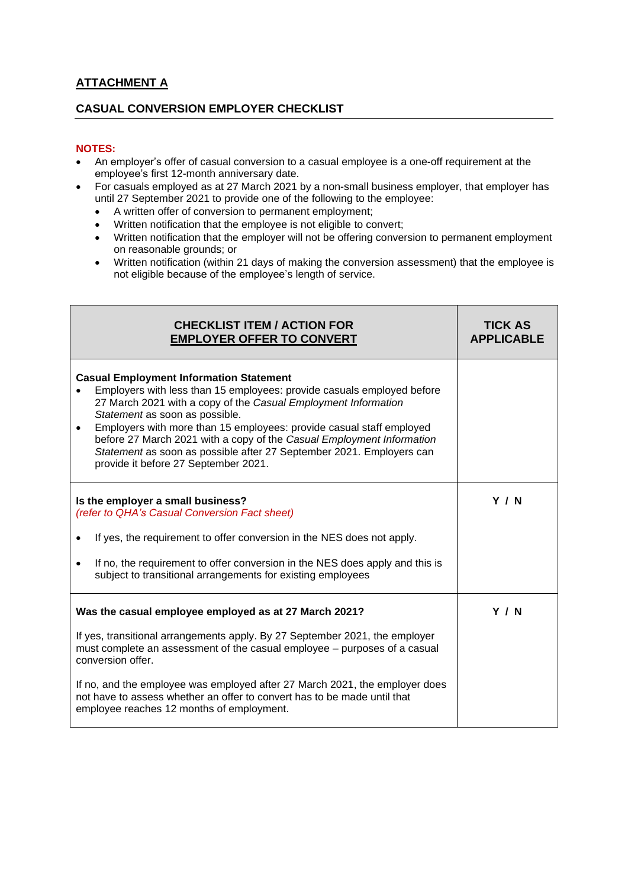# **ATTACHMENT A**

## **CASUAL CONVERSION EMPLOYER CHECKLIST**

#### **NOTES:**

- An employer's offer of casual conversion to a casual employee is a one-off requirement at the employee's first 12-month anniversary date.
- For casuals employed as at 27 March 2021 by a non-small business employer, that employer has until 27 September 2021 to provide one of the following to the employee:
	- A written offer of conversion to permanent employment;
	- Written notification that the employee is not eligible to convert;
	- Written notification that the employer will not be offering conversion to permanent employment on reasonable grounds; or
	- Written notification (within 21 days of making the conversion assessment) that the employee is not eligible because of the employee's length of service.

| <b>CHECKLIST ITEM / ACTION FOR</b><br><b>EMPLOYER OFFER TO CONVERT</b>                                                                                                                                                                                                                                                                                                                                                                                                                                     | <b>TICK AS</b><br><b>APPLICABLE</b> |
|------------------------------------------------------------------------------------------------------------------------------------------------------------------------------------------------------------------------------------------------------------------------------------------------------------------------------------------------------------------------------------------------------------------------------------------------------------------------------------------------------------|-------------------------------------|
| <b>Casual Employment Information Statement</b><br>Employers with less than 15 employees: provide casuals employed before<br>27 March 2021 with a copy of the Casual Employment Information<br>Statement as soon as possible.<br>Employers with more than 15 employees: provide casual staff employed<br>$\bullet$<br>before 27 March 2021 with a copy of the Casual Employment Information<br>Statement as soon as possible after 27 September 2021. Employers can<br>provide it before 27 September 2021. |                                     |
| Is the employer a small business?<br>(refer to QHA's Casual Conversion Fact sheet)<br>If yes, the requirement to offer conversion in the NES does not apply.<br>If no, the requirement to offer conversion in the NES does apply and this is<br>subject to transitional arrangements for existing employees                                                                                                                                                                                                | <b>Y / N</b>                        |
| Was the casual employee employed as at 27 March 2021?<br>If yes, transitional arrangements apply. By 27 September 2021, the employer<br>must complete an assessment of the casual employee – purposes of a casual<br>conversion offer.<br>If no, and the employee was employed after 27 March 2021, the employer does<br>not have to assess whether an offer to convert has to be made until that<br>employee reaches 12 months of employment.                                                             | <b>Y / N</b>                        |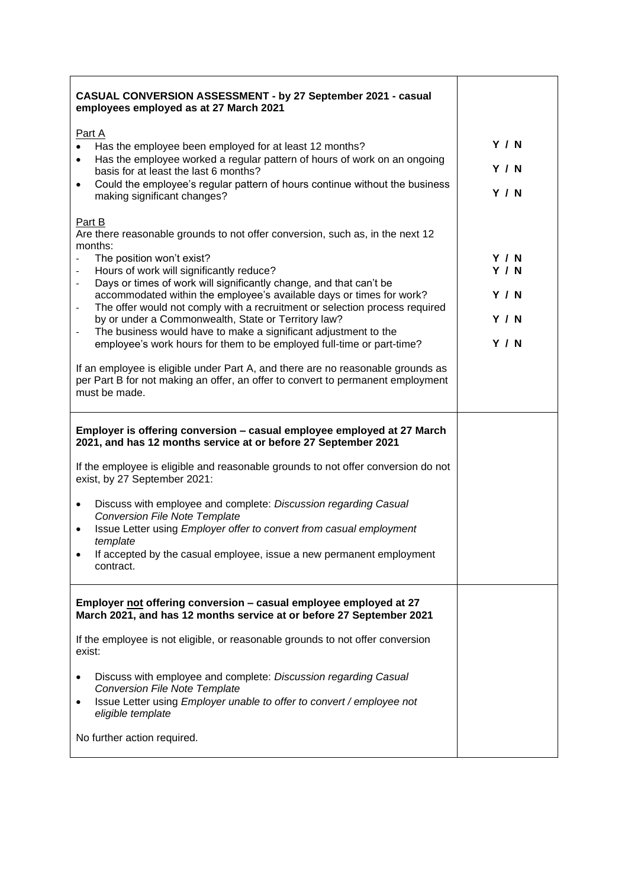| CASUAL CONVERSION ASSESSMENT - by 27 September 2021 - casual<br>employees employed as at 27 March 2021                                                                                                                                                                                                                                                                                                                                                                                                                                                                                                                                                                                                                                                                                                                                    |                                                                     |
|-------------------------------------------------------------------------------------------------------------------------------------------------------------------------------------------------------------------------------------------------------------------------------------------------------------------------------------------------------------------------------------------------------------------------------------------------------------------------------------------------------------------------------------------------------------------------------------------------------------------------------------------------------------------------------------------------------------------------------------------------------------------------------------------------------------------------------------------|---------------------------------------------------------------------|
| Part A<br>Has the employee been employed for at least 12 months?<br>Has the employee worked a regular pattern of hours of work on an ongoing<br>$\bullet$<br>basis for at least the last 6 months?<br>Could the employee's regular pattern of hours continue without the business<br>$\bullet$<br>making significant changes?                                                                                                                                                                                                                                                                                                                                                                                                                                                                                                             | <b>Y / N</b><br><b>Y / N</b><br><b>Y / N</b>                        |
| Part B<br>Are there reasonable grounds to not offer conversion, such as, in the next 12<br>months:<br>The position won't exist?<br>Hours of work will significantly reduce?<br>Days or times of work will significantly change, and that can't be<br>$\overline{\phantom{a}}$<br>accommodated within the employee's available days or times for work?<br>The offer would not comply with a recruitment or selection process required<br>$\overline{\phantom{0}}$<br>by or under a Commonwealth, State or Territory law?<br>The business would have to make a significant adjustment to the<br>employee's work hours for them to be employed full-time or part-time?<br>If an employee is eligible under Part A, and there are no reasonable grounds as<br>per Part B for not making an offer, an offer to convert to permanent employment | Y/N<br><b>Y / N</b><br><b>Y / N</b><br><b>Y / N</b><br><b>Y / N</b> |
| must be made.<br>Employer is offering conversion - casual employee employed at 27 March<br>2021, and has 12 months service at or before 27 September 2021<br>If the employee is eligible and reasonable grounds to not offer conversion do not<br>exist, by 27 September 2021:<br>Discuss with employee and complete: Discussion regarding Casual<br>٠<br><b>Conversion File Note Template</b><br>Issue Letter using Employer offer to convert from casual employment<br>template<br>If accepted by the casual employee, issue a new permanent employment<br>contract.                                                                                                                                                                                                                                                                    |                                                                     |
| Employer not offering conversion - casual employee employed at 27<br>March 2021, and has 12 months service at or before 27 September 2021<br>If the employee is not eligible, or reasonable grounds to not offer conversion<br>exist:<br>Discuss with employee and complete: Discussion regarding Casual<br>٠<br><b>Conversion File Note Template</b><br>Issue Letter using Employer unable to offer to convert / employee not<br>$\bullet$<br>eligible template<br>No further action required.                                                                                                                                                                                                                                                                                                                                           |                                                                     |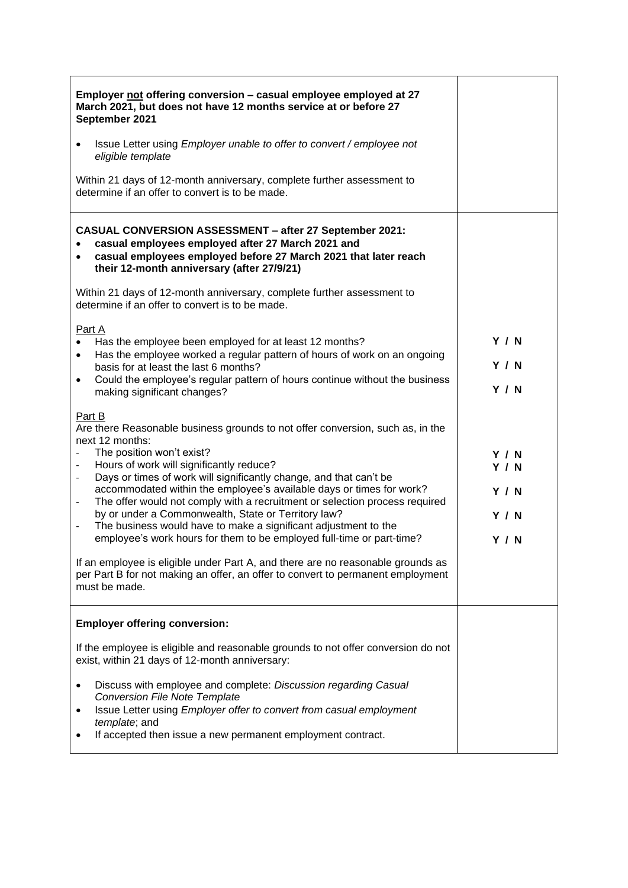| Employer not offering conversion - casual employee employed at 27<br>March 2021, but does not have 12 months service at or before 27<br>September 2021                                                                                                                                                                                                                                                                                                                                                                                                                                                                                                                                                                                                                                                                                                                                                                                                                                                                                                                                                                                                                   |                                                                             |
|--------------------------------------------------------------------------------------------------------------------------------------------------------------------------------------------------------------------------------------------------------------------------------------------------------------------------------------------------------------------------------------------------------------------------------------------------------------------------------------------------------------------------------------------------------------------------------------------------------------------------------------------------------------------------------------------------------------------------------------------------------------------------------------------------------------------------------------------------------------------------------------------------------------------------------------------------------------------------------------------------------------------------------------------------------------------------------------------------------------------------------------------------------------------------|-----------------------------------------------------------------------------|
| Issue Letter using Employer unable to offer to convert / employee not<br>$\bullet$<br>eligible template                                                                                                                                                                                                                                                                                                                                                                                                                                                                                                                                                                                                                                                                                                                                                                                                                                                                                                                                                                                                                                                                  |                                                                             |
| Within 21 days of 12-month anniversary, complete further assessment to<br>determine if an offer to convert is to be made.                                                                                                                                                                                                                                                                                                                                                                                                                                                                                                                                                                                                                                                                                                                                                                                                                                                                                                                                                                                                                                                |                                                                             |
| <b>CASUAL CONVERSION ASSESSMENT - after 27 September 2021:</b><br>casual employees employed after 27 March 2021 and<br>casual employees employed before 27 March 2021 that later reach<br>their 12-month anniversary (after 27/9/21)                                                                                                                                                                                                                                                                                                                                                                                                                                                                                                                                                                                                                                                                                                                                                                                                                                                                                                                                     |                                                                             |
| Within 21 days of 12-month anniversary, complete further assessment to<br>determine if an offer to convert is to be made.                                                                                                                                                                                                                                                                                                                                                                                                                                                                                                                                                                                                                                                                                                                                                                                                                                                                                                                                                                                                                                                |                                                                             |
| Part A<br>Has the employee been employed for at least 12 months?<br>Has the employee worked a regular pattern of hours of work on an ongoing<br>$\bullet$<br>basis for at least the last 6 months?<br>Could the employee's regular pattern of hours continue without the business<br>$\bullet$<br>making significant changes?<br>Part B<br>Are there Reasonable business grounds to not offer conversion, such as, in the<br>next 12 months:<br>The position won't exist?<br>Hours of work will significantly reduce?<br>Days or times of work will significantly change, and that can't be<br>accommodated within the employee's available days or times for work?<br>The offer would not comply with a recruitment or selection process required<br>$\overline{\phantom{a}}$<br>by or under a Commonwealth, State or Territory law?<br>The business would have to make a significant adjustment to the<br>employee's work hours for them to be employed full-time or part-time?<br>If an employee is eligible under Part A, and there are no reasonable grounds as<br>per Part B for not making an offer, an offer to convert to permanent employment<br>must be made. | Y / N<br>Y / N<br>Y / N<br>Y / N<br><b>Y / N</b><br>Y / N<br>Y / N<br>Y / N |
| <b>Employer offering conversion:</b>                                                                                                                                                                                                                                                                                                                                                                                                                                                                                                                                                                                                                                                                                                                                                                                                                                                                                                                                                                                                                                                                                                                                     |                                                                             |
| If the employee is eligible and reasonable grounds to not offer conversion do not<br>exist, within 21 days of 12-month anniversary:                                                                                                                                                                                                                                                                                                                                                                                                                                                                                                                                                                                                                                                                                                                                                                                                                                                                                                                                                                                                                                      |                                                                             |
| Discuss with employee and complete: Discussion regarding Casual<br><b>Conversion File Note Template</b><br>Issue Letter using Employer offer to convert from casual employment<br>٠<br>template; and<br>If accepted then issue a new permanent employment contract.                                                                                                                                                                                                                                                                                                                                                                                                                                                                                                                                                                                                                                                                                                                                                                                                                                                                                                      |                                                                             |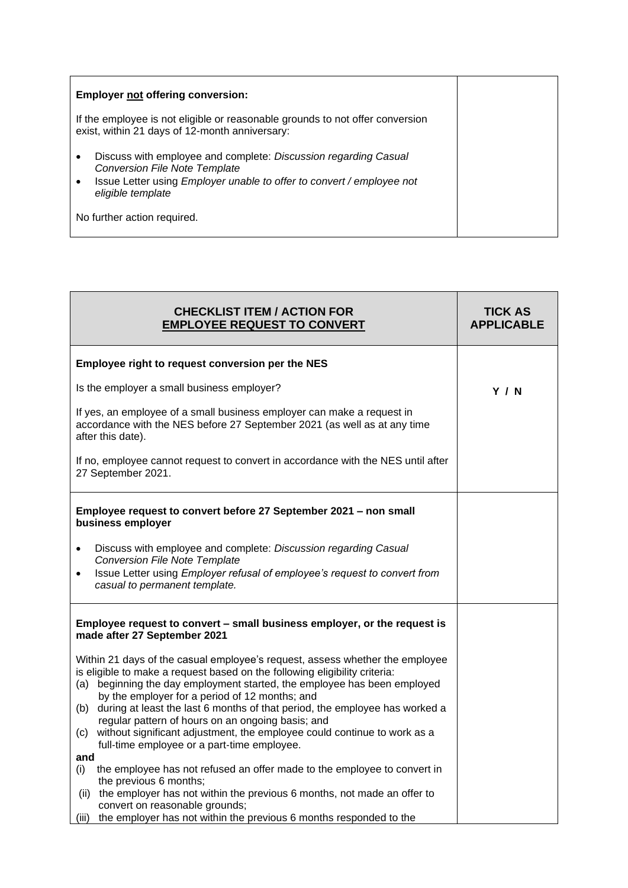| <b>Employer not offering conversion:</b>                                                                                                                                                                        |  |
|-----------------------------------------------------------------------------------------------------------------------------------------------------------------------------------------------------------------|--|
| If the employee is not eligible or reasonable grounds to not offer conversion<br>exist, within 21 days of 12-month anniversary:                                                                                 |  |
| Discuss with employee and complete: Discussion regarding Casual<br>٠<br><b>Conversion File Note Template</b><br>Issue Letter using Employer unable to offer to convert / employee not<br>٠<br>eligible template |  |
| No further action required.                                                                                                                                                                                     |  |

| <b>CHECKLIST ITEM / ACTION FOR</b><br><b>EMPLOYEE REQUEST TO CONVERT</b>                                                                                                                                                                                                                                                                                                                                                                                                                                                                                                  | <b>TICK AS</b><br><b>APPLICABLE</b> |
|---------------------------------------------------------------------------------------------------------------------------------------------------------------------------------------------------------------------------------------------------------------------------------------------------------------------------------------------------------------------------------------------------------------------------------------------------------------------------------------------------------------------------------------------------------------------------|-------------------------------------|
| Employee right to request conversion per the NES                                                                                                                                                                                                                                                                                                                                                                                                                                                                                                                          |                                     |
| Is the employer a small business employer?                                                                                                                                                                                                                                                                                                                                                                                                                                                                                                                                | <b>Y / N</b>                        |
| If yes, an employee of a small business employer can make a request in<br>accordance with the NES before 27 September 2021 (as well as at any time<br>after this date).                                                                                                                                                                                                                                                                                                                                                                                                   |                                     |
| If no, employee cannot request to convert in accordance with the NES until after<br>27 September 2021.                                                                                                                                                                                                                                                                                                                                                                                                                                                                    |                                     |
| Employee request to convert before 27 September 2021 - non small<br>business employer<br>Discuss with employee and complete: Discussion regarding Casual<br>$\bullet$<br><b>Conversion File Note Template</b><br>Issue Letter using Employer refusal of employee's request to convert from<br>casual to permanent template.                                                                                                                                                                                                                                               |                                     |
| Employee request to convert - small business employer, or the request is<br>made after 27 September 2021                                                                                                                                                                                                                                                                                                                                                                                                                                                                  |                                     |
| Within 21 days of the casual employee's request, assess whether the employee<br>is eligible to make a request based on the following eligibility criteria:<br>beginning the day employment started, the employee has been employed<br>(a)<br>by the employer for a period of 12 months; and<br>(b) during at least the last 6 months of that period, the employee has worked a<br>regular pattern of hours on an ongoing basis; and<br>(c) without significant adjustment, the employee could continue to work as a<br>full-time employee or a part-time employee.<br>and |                                     |
| the employee has not refused an offer made to the employee to convert in<br>(i)<br>the previous 6 months;<br>(ii) the employer has not within the previous 6 months, not made an offer to<br>convert on reasonable grounds;<br>the employer has not within the previous 6 months responded to the<br>(iii)                                                                                                                                                                                                                                                                |                                     |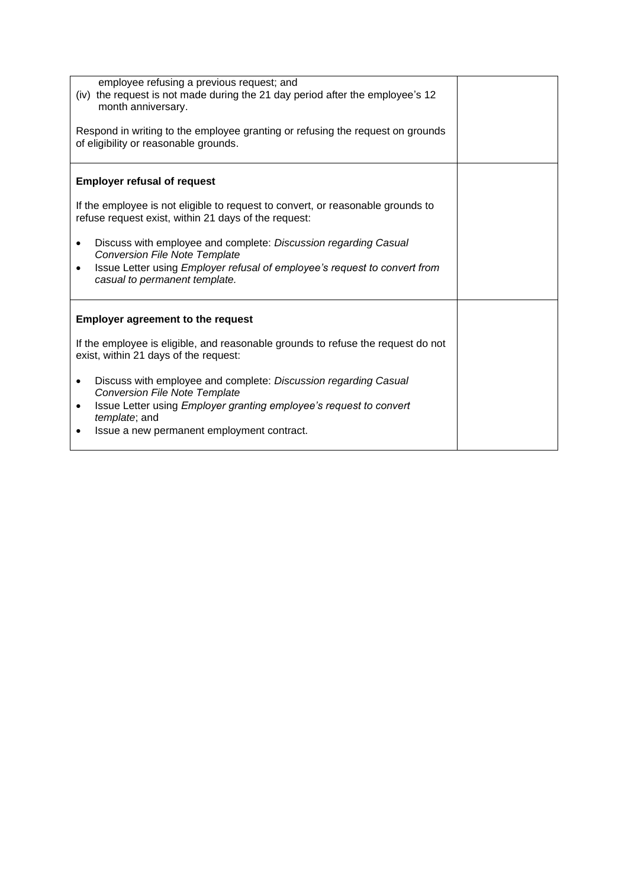| employee refusing a previous request; and<br>(iv) the request is not made during the 21 day period after the employee's 12<br>month anniversary.<br>Respond in writing to the employee granting or refusing the request on grounds<br>of eligibility or reasonable grounds.                                                                                                                                                            |  |
|----------------------------------------------------------------------------------------------------------------------------------------------------------------------------------------------------------------------------------------------------------------------------------------------------------------------------------------------------------------------------------------------------------------------------------------|--|
| <b>Employer refusal of request</b><br>If the employee is not eligible to request to convert, or reasonable grounds to<br>refuse request exist, within 21 days of the request:<br>Discuss with employee and complete: Discussion regarding Casual<br>$\bullet$<br><b>Conversion File Note Template</b><br>Issue Letter using Employer refusal of employee's request to convert from<br>casual to permanent template.                    |  |
| <b>Employer agreement to the request</b><br>If the employee is eligible, and reasonable grounds to refuse the request do not<br>exist, within 21 days of the request:<br>Discuss with employee and complete: Discussion regarding Casual<br>٠<br><b>Conversion File Note Template</b><br>Issue Letter using <i>Employer granting employee's request to convert</i><br>٠<br>template; and<br>Issue a new permanent employment contract. |  |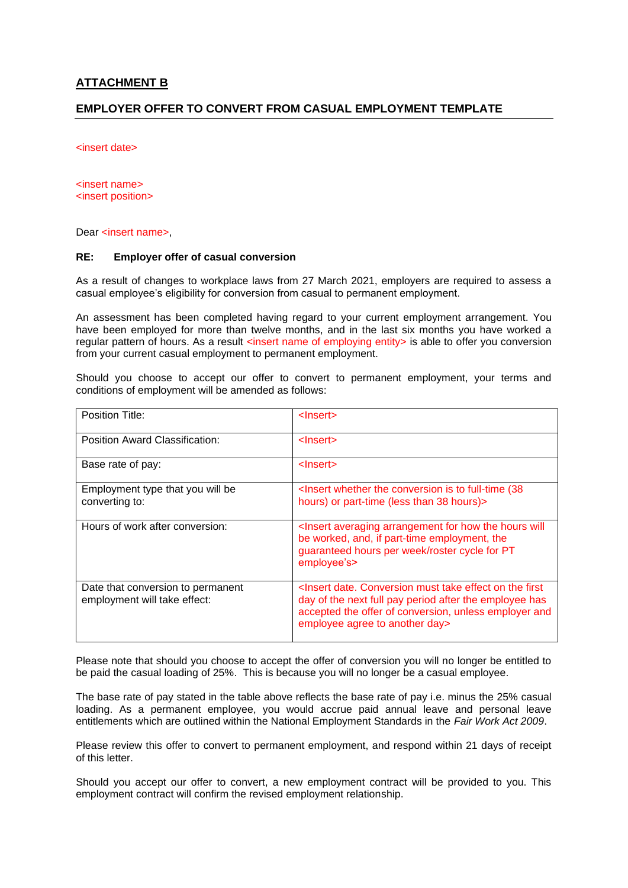#### **ATTACHMENT B**

#### **EMPLOYER OFFER TO CONVERT FROM CASUAL EMPLOYMENT TEMPLATE**

<insert date>

<insert name> <insert position>

Dear <insert name>,

#### **RE: Employer offer of casual conversion**

As a result of changes to workplace laws from 27 March 2021, employers are required to assess a casual employee's eligibility for conversion from casual to permanent employment.

An assessment has been completed having regard to your current employment arrangement. You have been employed for more than twelve months, and in the last six months you have worked a regular pattern of hours. As a result <insert name of employing entity> is able to offer you conversion from your current casual employment to permanent employment.

Should you choose to accept our offer to convert to permanent employment, your terms and conditions of employment will be amended as follows:

| Position Title:                                                   | <lnsert></lnsert>                                                                                                                                                                                                                                 |
|-------------------------------------------------------------------|---------------------------------------------------------------------------------------------------------------------------------------------------------------------------------------------------------------------------------------------------|
| Position Award Classification:                                    | <lnsert></lnsert>                                                                                                                                                                                                                                 |
| Base rate of pay:                                                 | <lnsert></lnsert>                                                                                                                                                                                                                                 |
| Employment type that you will be<br>converting to:                | <lnsert (38)<br="" conversion="" full-time="" is="" the="" to="" whether="">hours) or part-time (less than 38 hours)&gt;</lnsert>                                                                                                                 |
| Hours of work after conversion:                                   | <lnsert arrangement="" averaging="" for="" hours="" how="" the="" will<br="">be worked, and, if part-time employment, the<br/>guaranteed hours per week/roster cycle for PT<br/>employee's&gt;</lnsert>                                           |
| Date that conversion to permanent<br>employment will take effect: | <lnsert conversion="" date.="" effect="" first<br="" must="" on="" take="" the="">day of the next full pay period after the employee has<br/>accepted the offer of conversion, unless employer and<br/>employee agree to another day&gt;</lnsert> |

Please note that should you choose to accept the offer of conversion you will no longer be entitled to be paid the casual loading of 25%. This is because you will no longer be a casual employee.

The base rate of pay stated in the table above reflects the base rate of pay i.e. minus the 25% casual loading. As a permanent employee, you would accrue paid annual leave and personal leave entitlements which are outlined within the National Employment Standards in the *Fair Work Act 2009*.

Please review this offer to convert to permanent employment, and respond within 21 days of receipt of this letter.

Should you accept our offer to convert, a new employment contract will be provided to you. This employment contract will confirm the revised employment relationship.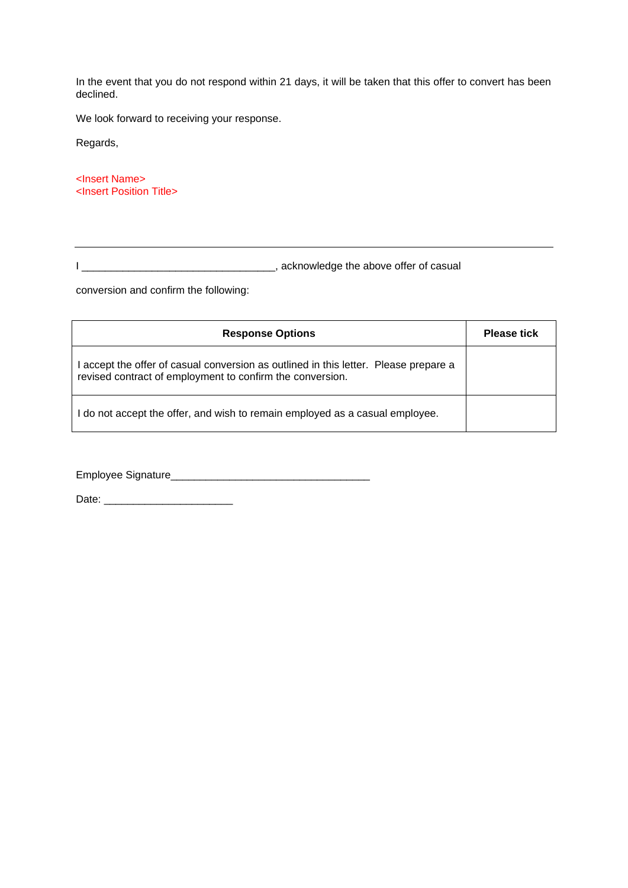In the event that you do not respond within 21 days, it will be taken that this offer to convert has been declined.

We look forward to receiving your response.

Regards,

<Insert Name> <Insert Position Title>

I \_\_\_\_\_\_\_\_\_\_\_\_\_\_\_\_\_\_\_\_\_\_\_\_\_\_\_\_\_\_\_\_\_, acknowledge the above offer of casual

conversion and confirm the following:

| <b>Response Options</b>                                                                                                                         | <b>Please tick</b> |
|-------------------------------------------------------------------------------------------------------------------------------------------------|--------------------|
| accept the offer of casual conversion as outlined in this letter. Please prepare a<br>revised contract of employment to confirm the conversion. |                    |
| do not accept the offer, and wish to remain employed as a casual employee.                                                                      |                    |

Employee Signature\_\_\_\_\_\_\_\_\_\_\_\_\_\_\_\_\_\_\_\_\_\_\_\_\_\_\_\_\_\_\_\_\_\_

Date: \_\_\_\_\_\_\_\_\_\_\_\_\_\_\_\_\_\_\_\_\_\_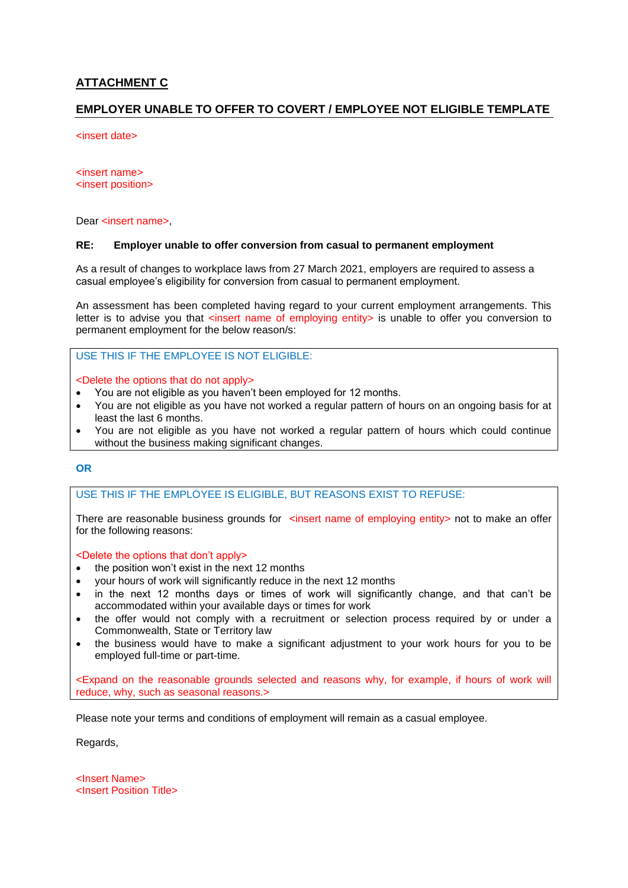## **ATTACHMENT C**

#### **EMPLOYER UNABLE TO OFFER TO COVERT / EMPLOYEE NOT ELIGIBLE TEMPLATE**

<insert date>

<insert name> <insert position>

Dear <insert name>,

#### **RE: Employer unable to offer conversion from casual to permanent employment**

As a result of changes to workplace laws from 27 March 2021, employers are required to assess a casual employee's eligibility for conversion from casual to permanent employment.

An assessment has been completed having regard to your current employment arrangements. This letter is to advise you that <insert name of employing entity> is unable to offer you conversion to permanent employment for the below reason/s:

USE THIS IF THE EMPLOYEE IS NOT ELIGIBLE:

<Delete the options that do not apply>

- You are not eligible as you haven't been employed for 12 months.
- You are not eligible as you have not worked a regular pattern of hours on an ongoing basis for at least the last 6 months.
- You are not eligible as you have not worked a regular pattern of hours which could continue without the business making significant changes.

#### **OR**

#### USE THIS IF THE EMPLOYEE IS ELIGIBLE, BUT REASONS EXIST TO REFUSE:

There are reasonable business grounds for  $\prec$ insert name of employing entity > not to make an offer for the following reasons:

<Delete the options that don't apply>

- the position won't exist in the next 12 months
- your hours of work will significantly reduce in the next 12 months
- in the next 12 months days or times of work will significantly change, and that can't be accommodated within your available days or times for work
- the offer would not comply with a recruitment or selection process required by or under a Commonwealth, State or Territory law
- the business would have to make a significant adjustment to your work hours for you to be employed full-time or part-time.

<Expand on the reasonable grounds selected and reasons why, for example, if hours of work will reduce, why, such as seasonal reasons.>

Please note your terms and conditions of employment will remain as a casual employee.

Regards,

<Insert Name> <Insert Position Title>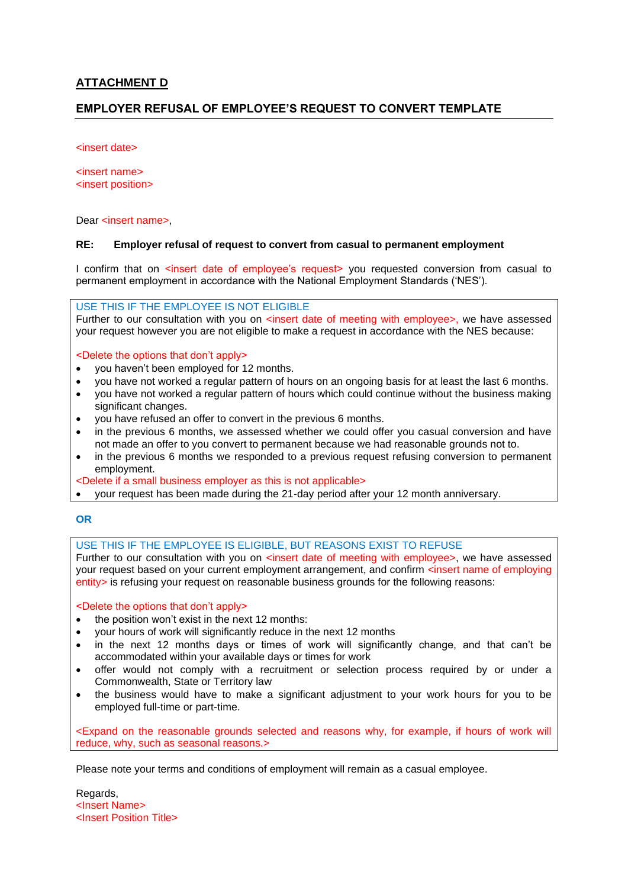#### **ATTACHMENT D**

#### **EMPLOYER REFUSAL OF EMPLOYEE'S REQUEST TO CONVERT TEMPLATE**

<insert date>

<insert name> <insert position>

Dear <insert name>,

#### **RE: Employer refusal of request to convert from casual to permanent employment**

I confirm that on <insert date of employee's request> you requested conversion from casual to permanent employment in accordance with the National Employment Standards ('NES').

USE THIS IF THE EMPLOYEE IS NOT ELIGIBLE

Further to our consultation with you on <insert date of meeting with employee>, we have assessed your request however you are not eligible to make a request in accordance with the NES because:

<Delete the options that don't apply>

- you haven't been employed for 12 months.
- you have not worked a regular pattern of hours on an ongoing basis for at least the last 6 months.
- you have not worked a regular pattern of hours which could continue without the business making significant changes.
- you have refused an offer to convert in the previous 6 months.
- in the previous 6 months, we assessed whether we could offer you casual conversion and have not made an offer to you convert to permanent because we had reasonable grounds not to.
- in the previous 6 months we responded to a previous request refusing conversion to permanent employment.
- <Delete if a small business employer as this is not applicable>
- your request has been made during the 21-day period after your 12 month anniversary.

#### **OR**

#### USE THIS IF THE EMPLOYEE IS ELIGIBLE, BUT REASONS EXIST TO REFUSE

Further to our consultation with you on <insert date of meeting with employee>, we have assessed your request based on your current employment arrangement, and confirm <insert name of employing entity> is refusing your request on reasonable business grounds for the following reasons:

<Delete the options that don't apply>

- the position won't exist in the next 12 months:
- your hours of work will significantly reduce in the next 12 months
- in the next 12 months days or times of work will significantly change, and that can't be accommodated within your available days or times for work
- offer would not comply with a recruitment or selection process required by or under a Commonwealth, State or Territory law
- the business would have to make a significant adjustment to your work hours for you to be employed full-time or part-time.

<Expand on the reasonable grounds selected and reasons why, for example, if hours of work will reduce, why, such as seasonal reasons.>

Please note your terms and conditions of employment will remain as a casual employee.

Regards, <Insert Name> <Insert Position Title>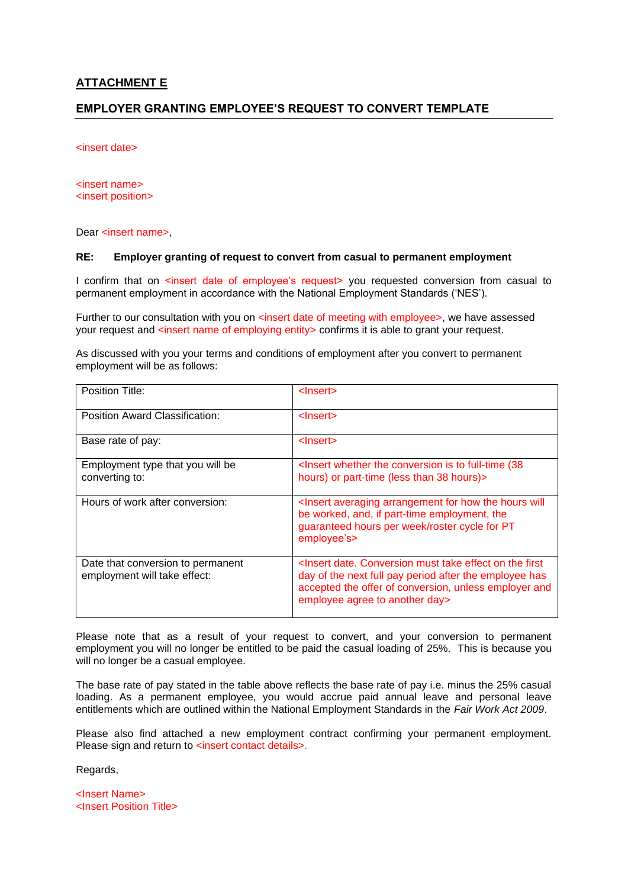#### **ATTACHMENT E**

#### **EMPLOYER GRANTING EMPLOYEE'S REQUEST TO CONVERT TEMPLATE**

<insert date>

<insert name> <insert position>

Dear <insert name>,

#### **RE: Employer granting of request to convert from casual to permanent employment**

I confirm that on <insert date of employee's request> you requested conversion from casual to permanent employment in accordance with the National Employment Standards ('NES').

Further to our consultation with you on <insert date of meeting with employee>, we have assessed your request and <insert name of employing entity> confirms it is able to grant your request.

As discussed with you your terms and conditions of employment after you convert to permanent employment will be as follows:

| Position Title:                                                   | <lnsert></lnsert>                                                                                                                                                                                                                                 |
|-------------------------------------------------------------------|---------------------------------------------------------------------------------------------------------------------------------------------------------------------------------------------------------------------------------------------------|
| Position Award Classification:                                    | $l$ nsert $>$                                                                                                                                                                                                                                     |
| Base rate of pay:                                                 | $l$ nsert $>$                                                                                                                                                                                                                                     |
| Employment type that you will be<br>converting to:                | <lnsert (38)<br="" conversion="" full-time="" is="" the="" to="" whether="">hours) or part-time (less than 38 hours)&gt;</lnsert>                                                                                                                 |
| Hours of work after conversion:                                   | <lnsert arrangement="" averaging="" for="" hours="" how="" the="" will<br="">be worked, and, if part-time employment, the<br/>guaranteed hours per week/roster cycle for PT<br/>employee's&gt;</lnsert>                                           |
| Date that conversion to permanent<br>employment will take effect: | <insert conversion="" date.="" effect="" first<br="" must="" on="" take="" the="">day of the next full pay period after the employee has<br/>accepted the offer of conversion, unless employer and<br/>employee agree to another day&gt;</insert> |

Please note that as a result of your request to convert, and your conversion to permanent employment you will no longer be entitled to be paid the casual loading of 25%. This is because you will no longer be a casual employee.

The base rate of pay stated in the table above reflects the base rate of pay i.e. minus the 25% casual loading. As a permanent employee, you would accrue paid annual leave and personal leave entitlements which are outlined within the National Employment Standards in the *Fair Work Act 2009*.

Please also find attached a new employment contract confirming your permanent employment. Please sign and return to <insert contact details>.

Regards,

<Insert Name> <Insert Position Title>